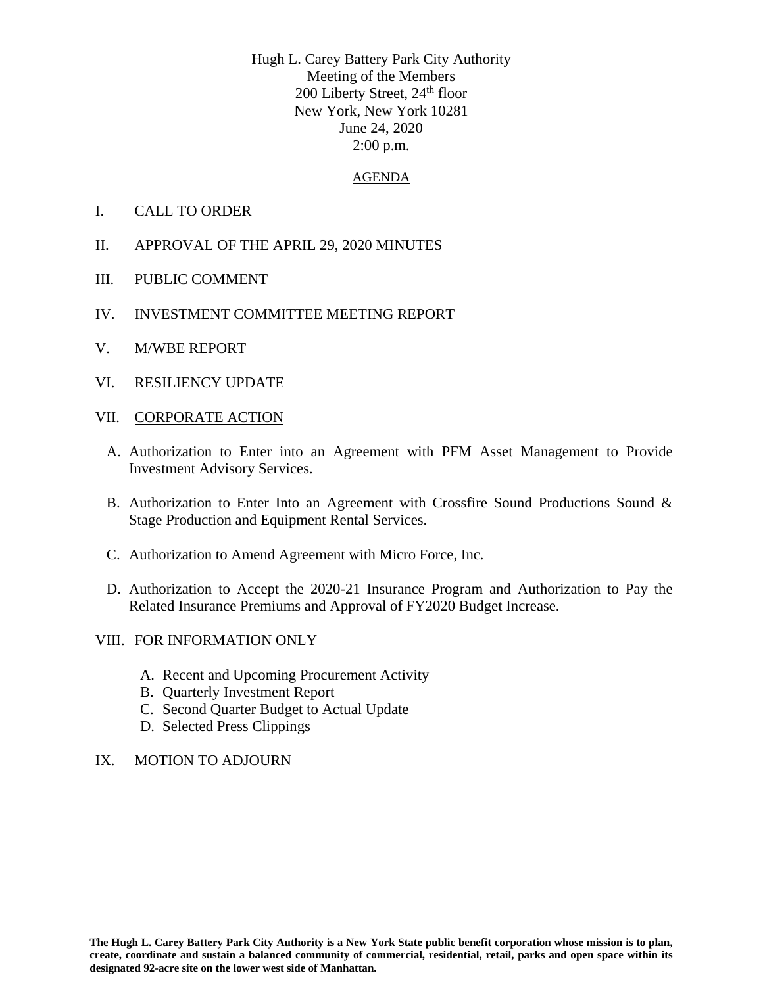Hugh L. Carey Battery Park City Authority Meeting of the Members 200 Liberty Street,  $24<sup>th</sup>$  floor New York, New York 10281 June 24, 2020 2:00 p.m.

#### AGENDA

- I. CALL TO ORDER
- II. APPROVAL OF THE APRIL 29, 2020 MINUTES
- III. PUBLIC COMMENT
- IV. INVESTMENT COMMITTEE MEETING REPORT
- V. M/WBE REPORT
- VI. RESILIENCY UPDATE
- VII. CORPORATE ACTION
	- A. Authorization to Enter into an Agreement with PFM Asset Management to Provide Investment Advisory Services.
	- B. Authorization to Enter Into an Agreement with Crossfire Sound Productions Sound & Stage Production and Equipment Rental Services.
	- C. Authorization to Amend Agreement with Micro Force, Inc.
	- D. Authorization to Accept the 2020-21 Insurance Program and Authorization to Pay the Related Insurance Premiums and Approval of FY2020 Budget Increase.

#### VIII. FOR INFORMATION ONLY

- A. Recent and Upcoming Procurement Activity
- B. Quarterly Investment Report
- C. Second Quarter Budget to Actual Update
- D. Selected Press Clippings

### IX. MOTION TO ADJOURN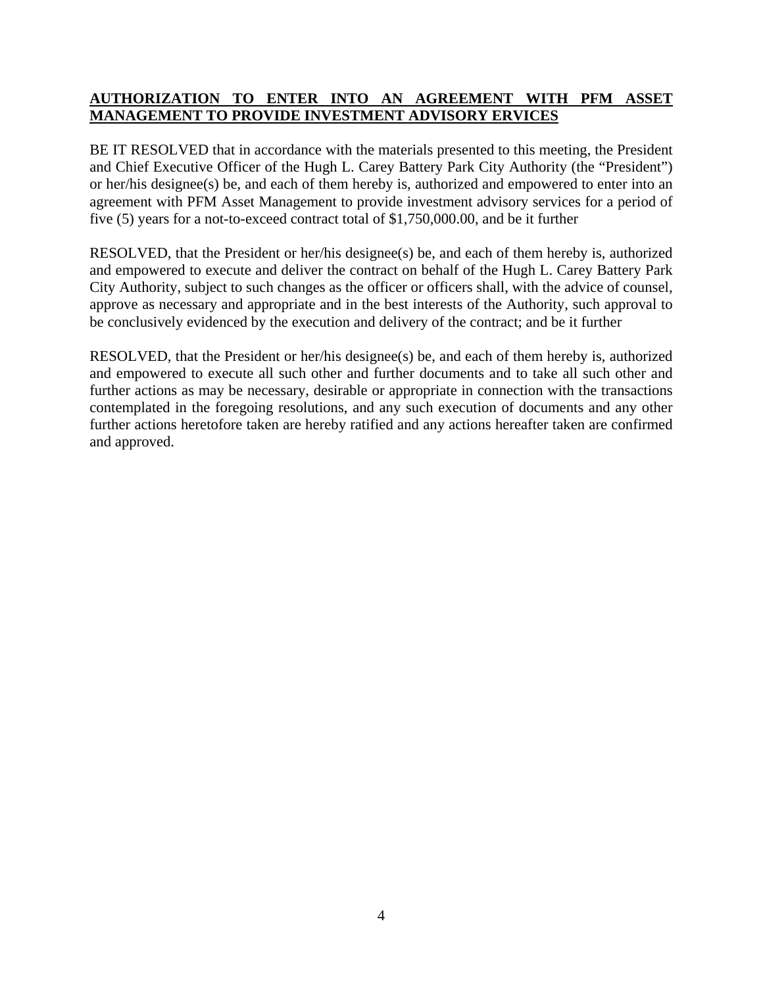# **AUTHORIZATION TO ENTER INTO AN AGREEMENT WITH PFM ASSET MANAGEMENT TO PROVIDE INVESTMENT ADVISORY ERVICES**

BE IT RESOLVED that in accordance with the materials presented to this meeting, the President and Chief Executive Officer of the Hugh L. Carey Battery Park City Authority (the "President") or her/his designee(s) be, and each of them hereby is, authorized and empowered to enter into an agreement with PFM Asset Management to provide investment advisory services for a period of five (5) years for a not-to-exceed contract total of \$1,750,000.00, and be it further

RESOLVED, that the President or her/his designee(s) be, and each of them hereby is, authorized and empowered to execute and deliver the contract on behalf of the Hugh L. Carey Battery Park City Authority, subject to such changes as the officer or officers shall, with the advice of counsel, approve as necessary and appropriate and in the best interests of the Authority, such approval to be conclusively evidenced by the execution and delivery of the contract; and be it further

RESOLVED, that the President or her/his designee(s) be, and each of them hereby is, authorized and empowered to execute all such other and further documents and to take all such other and further actions as may be necessary, desirable or appropriate in connection with the transactions contemplated in the foregoing resolutions, and any such execution of documents and any other further actions heretofore taken are hereby ratified and any actions hereafter taken are confirmed and approved.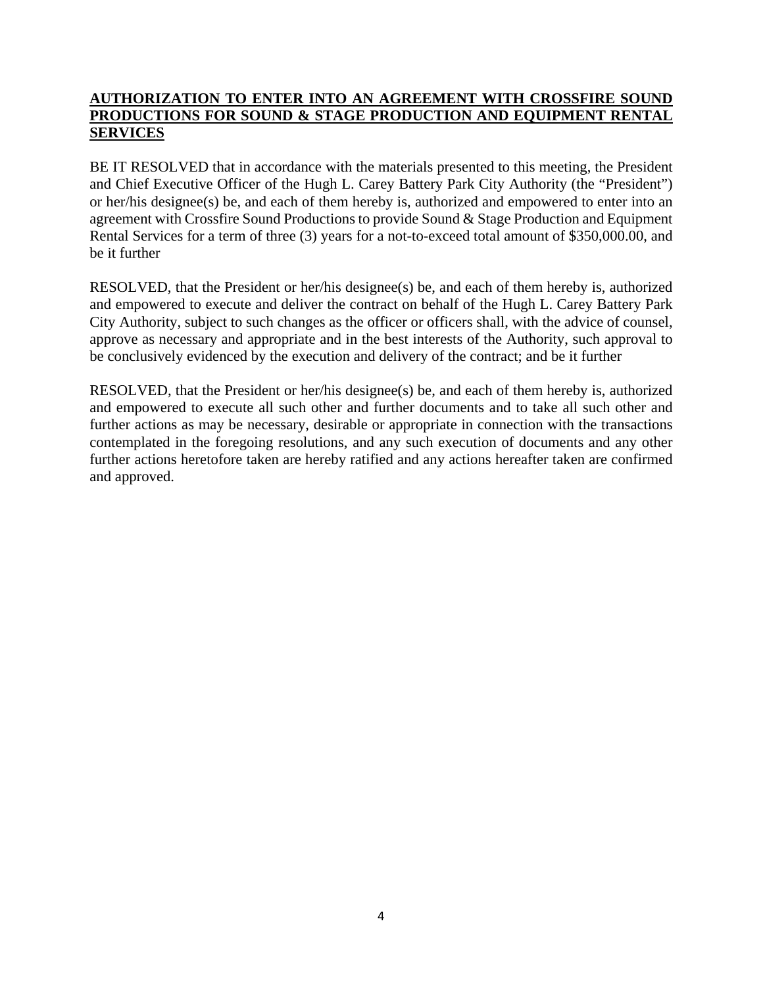# **AUTHORIZATION TO ENTER INTO AN AGREEMENT WITH CROSSFIRE SOUND PRODUCTIONS FOR SOUND & STAGE PRODUCTION AND EQUIPMENT RENTAL SERVICES**

BE IT RESOLVED that in accordance with the materials presented to this meeting, the President and Chief Executive Officer of the Hugh L. Carey Battery Park City Authority (the "President") or her/his designee(s) be, and each of them hereby is, authorized and empowered to enter into an agreement with Crossfire Sound Productions to provide Sound & Stage Production and Equipment Rental Services for a term of three (3) years for a not-to-exceed total amount of \$350,000.00, and be it further

RESOLVED, that the President or her/his designee(s) be, and each of them hereby is, authorized and empowered to execute and deliver the contract on behalf of the Hugh L. Carey Battery Park City Authority, subject to such changes as the officer or officers shall, with the advice of counsel, approve as necessary and appropriate and in the best interests of the Authority, such approval to be conclusively evidenced by the execution and delivery of the contract; and be it further

RESOLVED, that the President or her/his designee(s) be, and each of them hereby is, authorized and empowered to execute all such other and further documents and to take all such other and further actions as may be necessary, desirable or appropriate in connection with the transactions contemplated in the foregoing resolutions, and any such execution of documents and any other further actions heretofore taken are hereby ratified and any actions hereafter taken are confirmed and approved.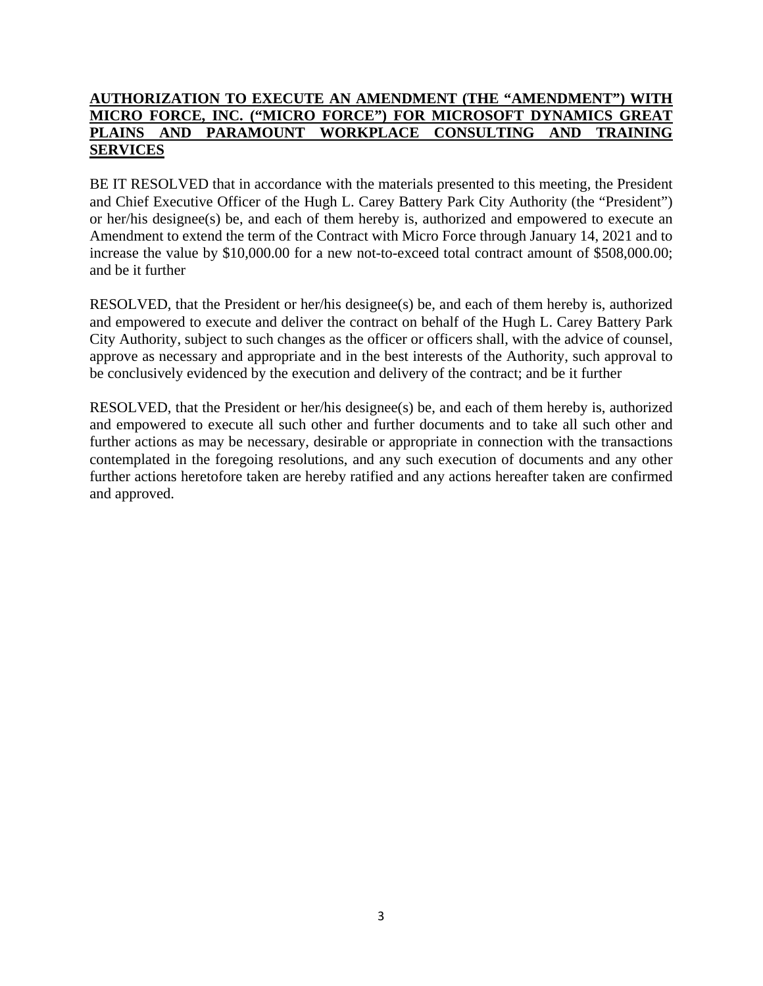## **AUTHORIZATION TO EXECUTE AN AMENDMENT (THE "AMENDMENT") WITH MICRO FORCE, INC. ("MICRO FORCE") FOR MICROSOFT DYNAMICS GREAT PLAINS AND PARAMOUNT WORKPLACE CONSULTING AND TRAINING SERVICES**

BE IT RESOLVED that in accordance with the materials presented to this meeting, the President and Chief Executive Officer of the Hugh L. Carey Battery Park City Authority (the "President") or her/his designee(s) be, and each of them hereby is, authorized and empowered to execute an Amendment to extend the term of the Contract with Micro Force through January 14, 2021 and to increase the value by \$10,000.00 for a new not-to-exceed total contract amount of \$508,000.00; and be it further

RESOLVED, that the President or her/his designee(s) be, and each of them hereby is, authorized and empowered to execute and deliver the contract on behalf of the Hugh L. Carey Battery Park City Authority, subject to such changes as the officer or officers shall, with the advice of counsel, approve as necessary and appropriate and in the best interests of the Authority, such approval to be conclusively evidenced by the execution and delivery of the contract; and be it further

RESOLVED, that the President or her/his designee(s) be, and each of them hereby is, authorized and empowered to execute all such other and further documents and to take all such other and further actions as may be necessary, desirable or appropriate in connection with the transactions contemplated in the foregoing resolutions, and any such execution of documents and any other further actions heretofore taken are hereby ratified and any actions hereafter taken are confirmed and approved.